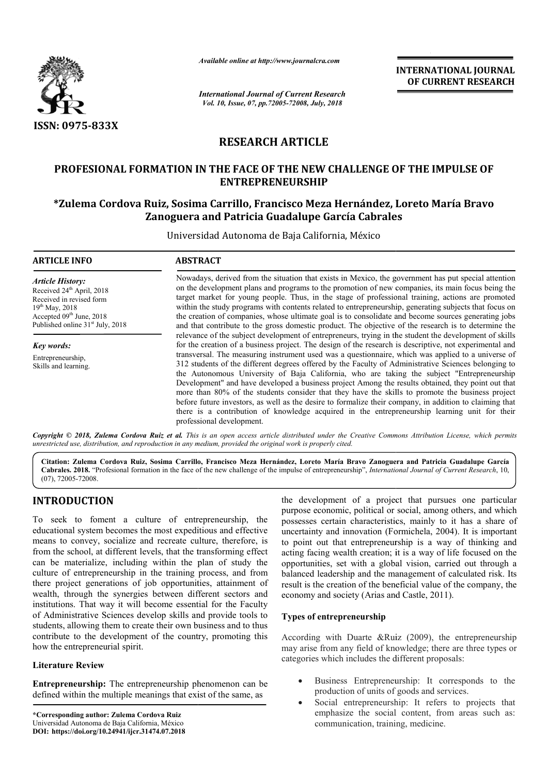

*Available online at http://www.journalcra.com*

*International Journal of Current Research Vol. 10, Issue, 07, pp.72005-72008, July, 2018*

**INTERNATIONAL JOURNAL OF CURRENT RESEARCH**

# **RESEARCH ARTICLE**

## PROFESIONAL FORMATION IN THE FACE OF THE NEW CHALLENGE OF THE IMPULSE OF **ENTREPRENEURSHIP**

## **\*Zulema Cordova Ruiz, Sosima Carrillo, Francisco Meza Hernández, Loreto María Zulema Bravo Zanoguera and Patricia Guadalupe García Cabrales**

Universidad Autonoma de Baja California, México

# **ARTICLE INFO ABSTRACT** Nowadays, derived from the situation that exists in Mexico, the government has put special attention on the development plans and programs to the promotion of new companies, its main focus being the target market for young people. Thus, in the stage of professional training, actions are promoted within the study programs with contents related to entrepreneurship, generating subjects that focus on the creation of companies, whose ultimate goal is to consolidate and become sources generating jobs and that contribute to the gross domestic product. The objective of the research is to determine the relevance of the subject development of entrepreneurs, trying in the student the development of skills for the creation of a business project. The design of the research is descriptive, not experimental and transversal. The measuring instrument used was a questionnaire, which was applied to a uni 312 students of the different degrees offered by the Faculty of Administrative Sciences belonging to the Autonomous University of Baja California, who are taking the subject "Entrepreneurship Development" and have developed a business project Among the results obtained, they point out that more than 80% of the students consider that they have the skills to promote the business project before future investors, as well as the desire to formalize their company, in addition to claiming that there is a contribution of knowledge acquired in the entrepreneurship learning unit for their professional development. *Article History:* Received 24<sup>th</sup> April, 2018 Received in revised form  $19^{th}$  May, 2018 Accepted 09<sup>th</sup> June, 2018 Published online 31<sup>st</sup> July, 2018 *Key words:* Entrepreneurship, Skills and learning. Nowadays, derived from the situation that exists in Mexico, the government has put special attention<br>on the development plans and programs to the promotion of new companies, its main focus being the<br>target market for young the creation of companies, whose ultimate goal is to consolidate and become sources generating jobs and that contribute to the gross domestic product. The objective of the research is to determine the relevance of the subj 312 students of the different degrees offered by the Faculty of Administrative Sciences belonging to the Autonomous University of Baja California, who are taking the subject "Entrepreneurship Development" and have develope **EXERCT SOCIAL CONSTRATE ASSEMATE ASSEMATE ASSEMATE ASSEMATE AND OF CURRENT RESEARCH (and), 2018**<br> **LE**<br> **LE**<br> **WE CHALLENGE OF THE IMPULSE OF THE INDUSE OF THE INDUSE ASSEMANCE (IDP) and the social Cabrales Control and th**

Copyright © 2018, Zulema Cordova Ruiz et al. This is an open access article distributed under the Creative Commons Attribution License, which permits *unrestricted use, distribution, and reproduction in any medium, provided the original work is properly cited.*

Citation: Zulema Cordova Ruiz, Sosima Carrillo, Francisco Meza Hernández, Loreto María Bravo Zanoguera and Patricia Guadalupe García Cabrales. 2018. "Profesional formation in the face of the new challenge of the impulse of entrepreneurship", International Journal of Current Research, 10, (07), 72005-72008.

# **INTRODUCTION**

To seek to foment a culture of entrepreneurship, the educational system becomes the most expeditious and effective means to convey, socialize and recreate culture, therefore, is from the school, at different levels, that the transforming effect can be materialize, including within the plan of study the culture of entrepreneurship in the training process, and from there project generations of job opportunities, attainment of wealth, through the synergies between different sectors and institutions. That way it will become essential for the Faculty of Administrative Sciences develop skills and provide tools to students, allowing them to create their own business and to thus contribute to the development of the country, promoting this how the entrepreneurial spirit.

## **Literature Review**

**Entrepreneurship:** The entrepreneurship phenomenon can be defined within the multiple meanings that exist of the same, as

the development of a project that pursues one particular<br>purpose economic, political or social, among others, and which<br>comes the most expeditious and effective<br>increasing the prosesses certain characteristics, mainly to i purpose economic, political or social, among others, and which possesses certain characteristics, mainly to it has a share of uncertainty and innovation (Formichela, 2004). It is important to point out that entrepreneurship is a way of thinking and acting facing wealth creation; it is a way of life focused on the opportunities, set with a global vision, carried out through a balanced leadership and the management of calculated risk. Its result is the creation of the beneficial value of the company, the economy and society (Arias and Castle, 2011). the development of a project that pursues one particu<br>purpose economic, political or social, among others, and wh<br>possesses certain characteristics, mainly to it has a share<br>uncertainty and innovation (Formichela, 2004). I

## **Types of entrepreneurship**

According with Duarte &Ruiz (2009), the entrepreneurship may arise from any field of knowledge; there are three types or categories which includes the different proposals:

- Business Entrepreneurship: It corresponds to the production of units of goods and services.
- Social entrepreneurship: It refers to projects that emphasize the social content, from areas such as: communication, training, medicine.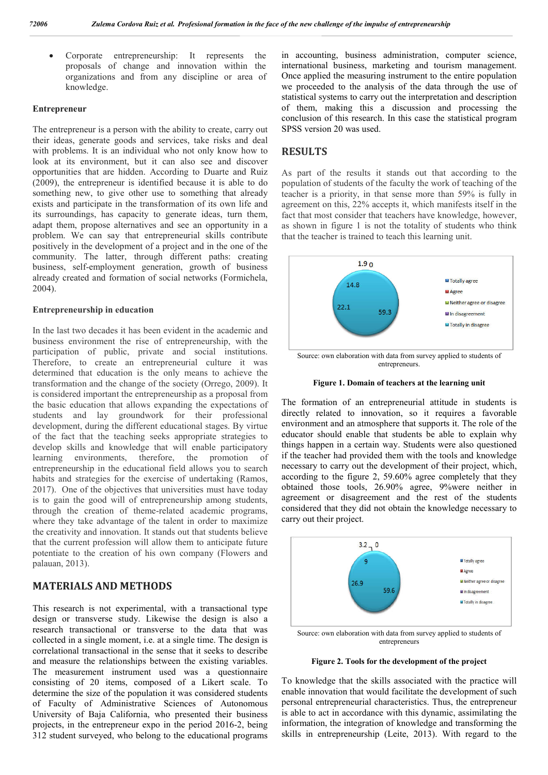Corporate entrepreneurship: It represents the proposals of change and innovation within the organizations and from any discipline or area of knowledge.

## **Entrepreneur**

The entrepreneur is a person with the ability to create, carry out their ideas, generate goods and services, take risks and deal with problems. It is an individual who not only know how to look at its environment, but it can also see and discover opportunities that are hidden. According to Duarte and Ruiz (2009), the entrepreneur is identified because it is able to do something new, to give other use to something that already exists and participate in the transformation of its own life and its surroundings, has capacity to generate ideas, turn them, adapt them, propose alternatives and see an opportunity in a problem. We can say that entrepreneurial skills contribute positively in the development of a project and in the one of the community. The latter, through different paths: creating business, self-employment generation, growth of business already created and formation of social networks (Formichela, 2004).

### **Entrepreneurship in education**

In the last two decades it has been evident in the academic and business environment the rise of entrepreneurship, with the participation of public, private and social institutions. Therefore, to create an entrepreneurial culture it was determined that education is the only means to achieve the transformation and the change of the society (Orrego, 2009). It is considered important the entrepreneurship as a proposal from the basic education that allows expanding the expectations of students and lay groundwork for their professional development, during the different educational stages. By virtue of the fact that the teaching seeks appropriate strategies to develop skills and knowledge that will enable participatory learning environments, therefore, the promotion of entrepreneurship in the educational field allows you to search habits and strategies for the exercise of undertaking (Ramos, 2017). One of the objectives that universities must have today is to gain the good will of entrepreneurship among students, through the creation of theme-related academic programs, where they take advantage of the talent in order to maximize the creativity and innovation. It stands out that students believe that the current profession will allow them to anticipate future potentiate to the creation of his own company (Flowers and palauan, 2013).

## **MATERIALS AND METHODS**

This research is not experimental, with a transactional type design or transverse study. Likewise the design is also a research transactional or transverse to the data that was collected in a single moment, i.e. at a single time. The design is correlational transactional in the sense that it seeks to describe and measure the relationships between the existing variables. The measurement instrument used was a questionnaire consisting of 20 items, composed of a Likert scale. To determine the size of the population it was considered students of Faculty of Administrative Sciences of Autonomous University of Baja California, who presented their business projects, in the entrepreneur expo in the period 2016-2, being 312 student surveyed, who belong to the educational programs

in accounting, business administration, computer science, international business, marketing and tourism management. Once applied the measuring instrument to the entire population we proceeded to the analysis of the data through the use of statistical systems to carry out the interpretation and description of them, making this a discussion and processing the conclusion of this research. In this case the statistical program SPSS version 20 was used.

## **RESULTS**

As part of the results it stands out that according to the population of students of the faculty the work of teaching of the teacher is a priority, in that sense more than 59% is fully in agreement on this, 22% accepts it, which manifests itself in the fact that most consider that teachers have knowledge, however, as shown in figure 1 is not the totality of students who think that the teacher is trained to teach this learning unit.



entrepreneurs.



The formation of an entrepreneurial attitude in students is directly related to innovation, so it requires a favorable environment and an atmosphere that supports it. The role of the educator should enable that students be able to explain why things happen in a certain way. Students were also questioned if the teacher had provided them with the tools and knowledge necessary to carry out the development of their project, which, according to the figure 2, 59.60% agree completely that they obtained those tools, 26.90% agree, 9%were neither in agreement or disagreement and the rest of the students considered that they did not obtain the knowledge necessary to carry out their project.



entrepreneurs

**Figure 2. Tools for the development of the project**

To knowledge that the skills associated with the practice will enable innovation that would facilitate the development of such personal entrepreneurial characteristics. Thus, the entrepreneur is able to act in accordance with this dynamic, assimilating the information, the integration of knowledge and transforming the skills in entrepreneurship (Leite, 2013). With regard to the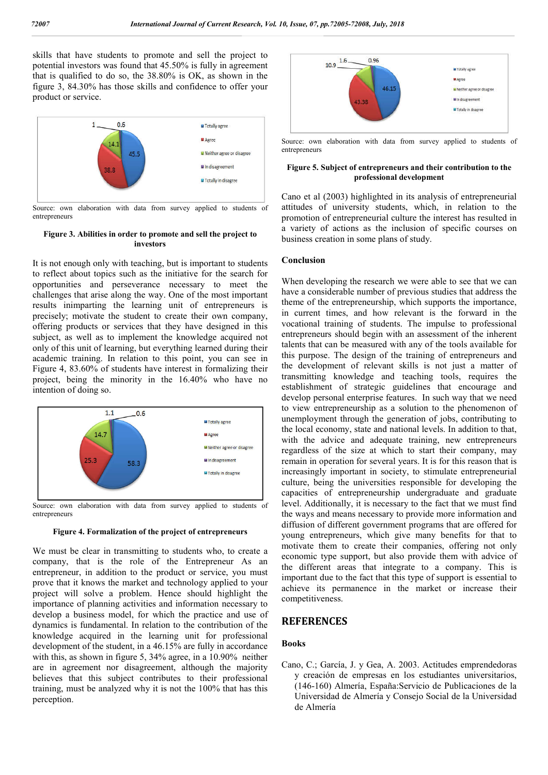skills that have students to promote and sell the project to potential investors was found that 45.50% is fully in agreement that is qualified to do so, the 38.80% is OK, as shown in the figure 3, 84.30% has those skills and confidence to offer your product or service.



Source: own elaboration with data from survey applied to students of entrepreneurs

### **Figure 3. Abilities in order to promote and sell the project to investors**

It is not enough only with teaching, but is important to students to reflect about topics such as the initiative for the search for opportunities and perseverance necessary to meet the challenges that arise along the way. One of the most important results inimparting the learning unit of entrepreneurs is precisely; motivate the student to create their own company, offering products or services that they have designed in this subject, as well as to implement the knowledge acquired not only of this unit of learning, but everything learned during their academic training. In relation to this point, you can see in Figure 4, 83.60% of students have interest in formalizing their project, being the minority in the 16.40% who have no intention of doing so.



Source: own elaboration with data from survey applied to students of entrepreneurs

#### **Figure 4. Formalization of the project of entrepreneurs**

We must be clear in transmitting to students who, to create a company, that is the role of the Entrepreneur As an entrepreneur, in addition to the product or service, you must prove that it knows the market and technology applied to your project will solve a problem. Hence should highlight the importance of planning activities and information necessary to develop a business model, for which the practice and use of dynamics is fundamental. In relation to the contribution of the knowledge acquired in the learning unit for professional development of the student, in a 46.15% are fully in accordance with this, as shown in figure 5, 34% agree, in a 10.90% neither are in agreement nor disagreement, although the majority believes that this subject contributes to their professional training, must be analyzed why it is not the 100% that has this perception.



Source: own elaboration with data from survey applied to students of entrepreneurs

## **Figure 5. Subject of entrepreneurs and their contribution to the professional development**

Cano et al (2003) highlighted in its analysis of entrepreneurial attitudes of university students, which, in relation to the promotion of entrepreneurial culture the interest has resulted in a variety of actions as the inclusion of specific courses on business creation in some plans of study.

## **Conclusion**

When developing the research we were able to see that we can have a considerable number of previous studies that address the theme of the entrepreneurship, which supports the importance, in current times, and how relevant is the forward in the vocational training of students. The impulse to professional entrepreneurs should begin with an assessment of the inherent talents that can be measured with any of the tools available for this purpose. The design of the training of entrepreneurs and the development of relevant skills is not just a matter of transmitting knowledge and teaching tools, requires the establishment of strategic guidelines that encourage and develop personal enterprise features. In such way that we need to view entrepreneurship as a solution to the phenomenon of unemployment through the generation of jobs, contributing to the local economy, state and national levels. In addition to that, with the advice and adequate training, new entrepreneurs regardless of the size at which to start their company, may remain in operation for several years. It is for this reason that is increasingly important in society, to stimulate entrepreneurial culture, being the universities responsible for developing the capacities of entrepreneurship undergraduate and graduate level. Additionally, it is necessary to the fact that we must find the ways and means necessary to provide more information and diffusion of different government programs that are offered for young entrepreneurs, which give many benefits for that to motivate them to create their companies, offering not only economic type support, but also provide them with advice of the different areas that integrate to a company. This is important due to the fact that this type of support is essential to achieve its permanence in the market or increase their competitiveness.

## **REFERENCES**

## **Books**

Cano, C.; García, J. y Gea, A. 2003. Actitudes emprendedoras y creación de empresas en los estudiantes universitarios, (146-160) Almería, España:Servicio de Publicaciones de la Universidad de Almería y Consejo Social de la Universidad de Almería